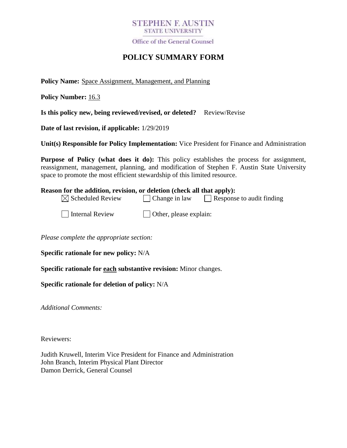## **STEPHEN F. AUSTIN STATE UNIVERSITY**

Office of the General Counsel

# **POLICY SUMMARY FORM**

**Policy Name:** Space Assignment, Management, and Planning

**Policy Number:** 16.3

**Is this policy new, being reviewed/revised, or deleted?** Review/Revise

**Date of last revision, if applicable:** 1/29/2019

**Unit(s) Responsible for Policy Implementation:** Vice President for Finance and Administration

**Purpose of Policy (what does it do):** This policy establishes the process for assignment, reassignment, management, planning, and modification of Stephen F. Austin State University space to promote the most efficient stewardship of this limited resource.

| <b>Reason for the addition, revision, or deletion (check all that apply):</b> |                                |                                  |
|-------------------------------------------------------------------------------|--------------------------------|----------------------------------|
| $\boxtimes$ Scheduled Review                                                  | $\Box$ Change in law           | $\Box$ Response to audit finding |
| Internal Review                                                               | $\vert$ Other, please explain: |                                  |

*Please complete the appropriate section:*

**Specific rationale for new policy:** N/A

**Specific rationale for each substantive revision:** Minor changes.

**Specific rationale for deletion of policy:** N/A

*Additional Comments:*

Reviewers:

Judith Kruwell, Interim Vice President for Finance and Administration John Branch, Interim Physical Plant Director Damon Derrick, General Counsel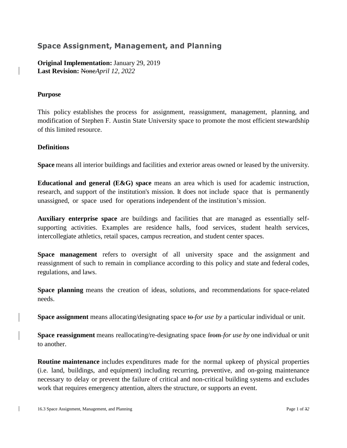## **Space Assignment, Management, and Planning**

**Original Implementation:** January 29, 2019 **Last Revision:** None*April 12, 2022*

## **Purpose**

This policy establishes the process for assignment, reassignment, management, planning, and modification of Stephen F. Austin State University space to promote the most efficient stewardship of this limited resource.

## **Definitions**

**Space** means all interior buildings and facilities and exterior areas owned or leased by the university.

**Educational and general (E&G) space** means an area which is used for academic instruction, research, and support of the institution's mission. It does not include space that is permanently unassigned, or space used for operations independent of the institution's mission.

**Auxiliary enterprise space** are buildings and facilities that are managed as essentially selfsupporting activities. Examples are residence halls, food services, student health services, intercollegiate athletics, retail spaces, campus recreation, and student center spaces.

**Space management** refers to oversight of all university space and the assignment and reassignment of such to remain in compliance according to this policy and state and federal codes, regulations, and laws.

**Space planning** means the creation of ideas, solutions, and recommendations for space-related needs.

**Space assignment** means allocating/designating space to *for use by* a particular individual or unit.

**Space reassignment** means reallocating/re-designating space from *for use by* one individual or unit to another.

**Routine maintenance** includes expenditures made for the normal upkeep of physical properties (i.e. land, buildings, and equipment) including recurring, preventive, and on-going maintenance necessary to delay or prevent the failure of critical and non-critical building systems and excludes work that requires emergency attention, alters the structure, or supports an event.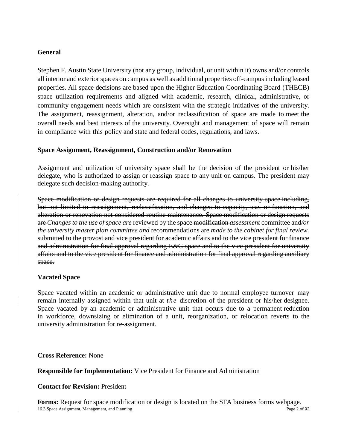#### **General**

Stephen F. Austin State University (not any group, individual, or unit within it) owns and/or controls all interior and exterior spaces on campus as well as additional properties off-campus including leased properties. All space decisions are based upon the Higher Education Coordinating Board (THECB) space utilization requirements and aligned with academic, research, clinical, administrative, or community engagement needs which are consistent with the strategic initiatives of the university. The assignment, reassignment, alteration, and/or reclassification of space are made to meet the overall needs and best interests of the university. Oversight and management of space will remain in compliance with this policy and state and federal codes, regulations, and laws.

### **Space Assignment, Reassignment, Construction and/or Renovation**

Assignment and utilization of university space shall be the decision of the president or his/her delegate, who is authorized to assign or reassign space to any unit on campus. The president may delegate such decision-making authority.

Space modification or design requests are required for all changes to university space including, but not limited to reassignment, reclassification, and changes to capacity, use, or function, and alteration or renovation not considered routine maintenance. Space modification or design requests are *Changes to the use of space are* reviewed by the space modification *assessment* committee and*/or the university master plan committee and* recommendations are *made to the cabinet for final review.*  submitted to the provost and vice president for academic affairs and to the vice president for finance and administration for final approval regarding E&G space and to the vice president for university affairs and to the vice president for finance and administration for final approval regarding auxiliary space.

### **Vacated Space**

Space vacated within an academic or administrative unit due to normal employee turnover may remain internally assigned within that unit at *the* discretion of the president or his/her designee. Space vacated by an academic or administrative unit that occurs due to a permanent reduction in workforce, downsizing or elimination of a unit, reorganization, or relocation reverts to the university administration for re-assignment.

**Cross Reference:** None

**Responsible for Implementation:** Vice President for Finance and Administration

### **Contact for Revision:** President

16.3 Space Assignment, Management, and Planning Page 2 of 32 **Forms:** Request for space modification or design is located on the SFA business forms webpage.